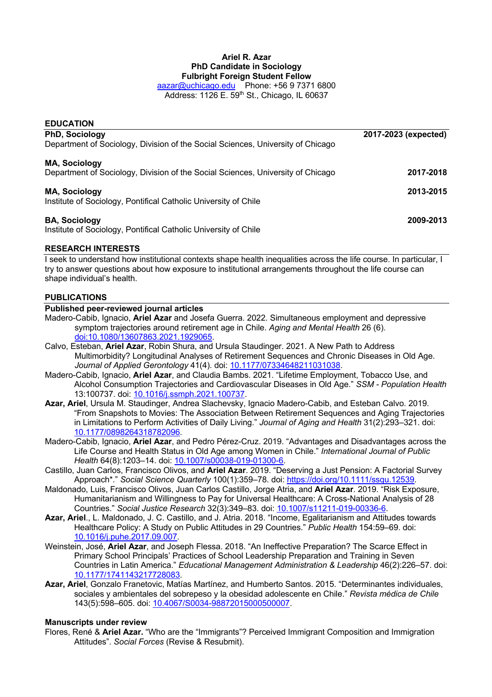# **Ariel R. Azar PhD Candidate in Sociology Fulbright Foreign Student Fellow**

aazar@uchicago.edu Phone: +56 9 7371 6800 Address: 1126 E. 59th St., Chicago, IL 60637

| <b>EDUCATION</b>                                                                |                      |
|---------------------------------------------------------------------------------|----------------------|
| <b>PhD, Sociology</b>                                                           | 2017-2023 (expected) |
| Department of Sociology, Division of the Social Sciences, University of Chicago |                      |
| <b>MA, Sociology</b>                                                            |                      |
| Department of Sociology, Division of the Social Sciences, University of Chicago | 2017-2018            |
| <b>MA, Sociology</b>                                                            | 2013-2015            |
| Institute of Sociology, Pontifical Catholic University of Chile                 |                      |
| <b>BA, Sociology</b>                                                            | 2009-2013            |
| Institute of Sociology, Pontifical Catholic University of Chile                 |                      |

# **RESEARCH INTERESTS**

I seek to understand how institutional contexts shape health inequalities across the life course. In particular, I try to answer questions about how exposure to institutional arrangements throughout the life course can shape individual's health.

## **PUBLICATIONS**

### **Published peer-reviewed journal articles**

- Madero-Cabib, Ignacio, **Ariel Azar** and Josefa Guerra. 2022. Simultaneous employment and depressive symptom trajectories around retirement age in Chile. *Aging and Mental Health* 26 (6). doi:10.1080/13607863.2021.1929065.
- Calvo, Esteban, **Ariel Azar**, Robin Shura, and Ursula Staudinger. 2021. A New Path to Address Multimorbidity? Longitudinal Analyses of Retirement Sequences and Chronic Diseases in Old Age. *Journal of Applied Gerontology* 41(4). doi: 10.1177/07334648211031038.
- Madero-Cabib, Ignacio, **Ariel Azar**, and Claudia Bambs. 2021. "Lifetime Employment, Tobacco Use, and Alcohol Consumption Trajectories and Cardiovascular Diseases in Old Age." *SSM - Population Health* 13:100737. doi: 10.1016/j.ssmph.2021.100737.
- **Azar, Ariel**, Ursula M. Staudinger, Andrea Slachevsky, Ignacio Madero-Cabib, and Esteban Calvo. 2019. "From Snapshots to Movies: The Association Between Retirement Sequences and Aging Trajectories in Limitations to Perform Activities of Daily Living." *Journal of Aging and Health* 31(2):293–321. doi: 10.1177/0898264318782096.
- Madero-Cabib, Ignacio, **Ariel Azar**, and Pedro Pérez-Cruz. 2019. "Advantages and Disadvantages across the Life Course and Health Status in Old Age among Women in Chile." *International Journal of Public Health* 64(8):1203–14. doi: 10.1007/s00038-019-01300-6.
- Castillo, Juan Carlos, Francisco Olivos, and **Ariel Azar**. 2019. "Deserving a Just Pension: A Factorial Survey Approach\*." *Social Science Quarterly* 100(1):359–78. doi: https://doi.org/10.1111/ssqu.12539.
- Maldonado, Luis, Francisco Olivos, Juan Carlos Castillo, Jorge Atria, and **Ariel Azar**. 2019. "Risk Exposure, Humanitarianism and Willingness to Pay for Universal Healthcare: A Cross-National Analysis of 28 Countries." *Social Justice Research* 32(3):349–83. doi: 10.1007/s11211-019-00336-6.
- **Azar, Ariel**., L. Maldonado, J. C. Castillo, and J. Atria. 2018. "Income, Egalitarianism and Attitudes towards Healthcare Policy: A Study on Public Attitudes in 29 Countries." *Public Health* 154:59–69. doi: 10.1016/j.puhe.2017.09.007.
- Weinstein, José, **Ariel Azar**, and Joseph Flessa. 2018. "An Ineffective Preparation? The Scarce Effect in Primary School Principals' Practices of School Leadership Preparation and Training in Seven Countries in Latin America." *Educational Management Administration & Leadership* 46(2):226–57. doi: 10.1177/1741143217728083.
- **Azar, Ariel**, Gonzalo Franetovic, Matías Martínez, and Humberto Santos. 2015. "Determinantes individuales, sociales y ambientales del sobrepeso y la obesidad adolescente en Chile." *Revista médica de Chile* 143(5):598–605. doi: 10.4067/S0034-98872015000500007.

### **Manuscripts under review**

Flores, René & **Ariel Azar.** "Who are the "Immigrants"? Perceived Immigrant Composition and Immigration Attitudes". *Social Forces* (Revise & Resubmit).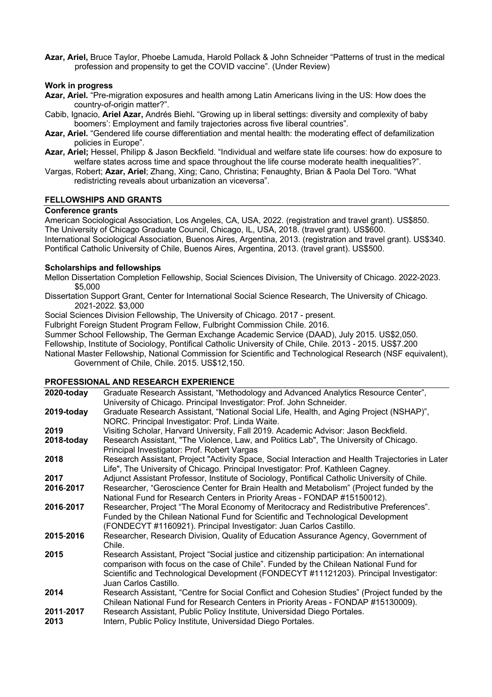**Azar, Ariel,** Bruce Taylor, Phoebe Lamuda, Harold Pollack & John Schneider "Patterns of trust in the medical profession and propensity to get the COVID vaccine". (Under Review)

### **Work in progress**

- **Azar, Ariel.** "Pre-migration exposures and health among Latin Americans living in the US: How does the country-of-origin matter?".
- Cabib, Ignacio, **Ariel Azar,** Andrés Biehl**.** "Growing up in liberal settings: diversity and complexity of baby boomers': Employment and family trajectories across five liberal countries".
- **Azar, Ariel.** "Gendered life course differentiation and mental health: the moderating effect of defamilization policies in Europe".
- **Azar, Ariel;** Hessel, Philipp & Jason Beckfield. "Individual and welfare state life courses: how do exposure to welfare states across time and space throughout the life course moderate health inequalities?".
- Vargas, Robert; **Azar, Ariel**; Zhang, Xing; Cano, Christina; Fenaughty, Brian & Paola Del Toro. "What redistricting reveals about urbanization an viceversa".

### **FELLOWSHIPS AND GRANTS**

### **Conference grants**

American Sociological Association, Los Angeles, CA, USA, 2022. (registration and travel grant). US\$850. The University of Chicago Graduate Council, Chicago, IL, USA, 2018. (travel grant). US\$600. International Sociological Association, Buenos Aires, Argentina, 2013. (registration and travel grant). US\$340. Pontifical Catholic University of Chile, Buenos Aires, Argentina, 2013. (travel grant). US\$500.

### **Scholarships and fellowships**

Mellon Dissertation Completion Fellowship, Social Sciences Division, The University of Chicago. 2022-2023. \$5,000

Dissertation Support Grant, Center for International Social Science Research, The University of Chicago. 2021-2022. \$3,000

Social Sciences Division Fellowship, The University of Chicago. 2017 - present.

Fulbright Foreign Student Program Fellow, Fulbright Commission Chile. 2016.

Summer School Fellowship, The German Exchange Academic Service (DAAD), July 2015. US\$2,050.

Fellowship, Institute of Sociology, Pontifical Catholic University of Chile, Chile. 2013 - 2015. US\$7.200

National Master Fellowship, National Commission for Scientific and Technological Research (NSF equivalent), Government of Chile, Chile. 2015. US\$12,150.

## **PROFESSIONAL AND RESEARCH EXPERIENCE**

| 2020-today        | Graduate Research Assistant, "Methodology and Advanced Analytics Resource Center",<br>University of Chicago. Principal Investigator: Prof. John Schneider.                                                                                                                                             |
|-------------------|--------------------------------------------------------------------------------------------------------------------------------------------------------------------------------------------------------------------------------------------------------------------------------------------------------|
| 2019-today        | Graduate Research Assistant, "National Social Life, Health, and Aging Project (NSHAP)",<br>NORC. Principal Investigator: Prof. Linda Waite.                                                                                                                                                            |
| 2019              | Visiting Scholar, Harvard University, Fall 2019. Academic Advisor: Jason Beckfield.                                                                                                                                                                                                                    |
| 2018-today        | Research Assistant, "The Violence, Law, and Politics Lab", The University of Chicago.<br>Principal Investigator: Prof. Robert Vargas                                                                                                                                                                   |
| 2018              | Research Assistant, Project "Activity Space, Social Interaction and Health Trajectories in Later<br>Life", The University of Chicago. Principal Investigator: Prof. Kathleen Cagney.                                                                                                                   |
| 2017              | Adjunct Assistant Professor, Institute of Sociology, Pontifical Catholic University of Chile.                                                                                                                                                                                                          |
| 2016-2017         | Researcher, "Geroscience Center for Brain Health and Metabolism" (Project funded by the<br>National Fund for Research Centers in Priority Areas - FONDAP #15150012).                                                                                                                                   |
| 2016-2017         | Researcher, Project "The Moral Economy of Meritocracy and Redistributive Preferences".<br>Funded by the Chilean National Fund for Scientific and Technological Development<br>(FONDECYT #1160921). Principal Investigator: Juan Carlos Castillo.                                                       |
| 2015-2016         | Researcher, Research Division, Quality of Education Assurance Agency, Government of<br>Chile.                                                                                                                                                                                                          |
| 2015              | Research Assistant, Project "Social justice and citizenship participation: An international<br>comparison with focus on the case of Chile". Funded by the Chilean National Fund for<br>Scientific and Technological Development (FONDECYT #11121203). Principal Investigator:<br>Juan Carlos Castillo. |
| 2014              | Research Assistant, "Centre for Social Conflict and Cohesion Studies" (Project funded by the<br>Chilean National Fund for Research Centers in Priority Areas - FONDAP #15130009).                                                                                                                      |
| 2011-2017<br>2013 | Research Assistant, Public Policy Institute, Universidad Diego Portales.<br>Intern, Public Policy Institute, Universidad Diego Portales.                                                                                                                                                               |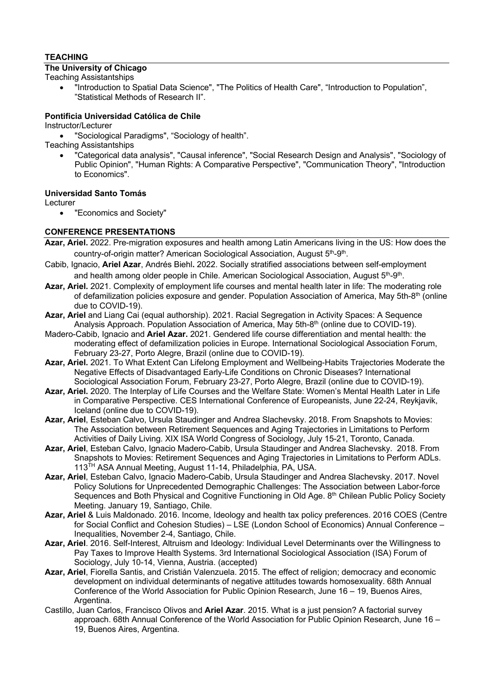# **TEACHING**

# **The University of Chicago**

Teaching Assistantships

• "Introduction to Spatial Data Science", "The Politics of Health Care", "Introduction to Population", "Statistical Methods of Research II".

### **Pontificia Universidad Católica de Chile**

#### Instructor/Lecturer

• "Sociological Paradigms", "Sociology of health".

Teaching Assistantships

• "Categorical data analysis", "Causal inference", "Social Research Design and Analysis", "Sociology of Public Opinion", "Human Rights: A Comparative Perspective", "Communication Theory", "Introduction to Economics".

### **Universidad Santo Tomás**

Lecturer

• "Economics and Society"

## **CONFERENCE PRESENTATIONS**

- **Azar, Ariel.** 2022. Pre-migration exposures and health among Latin Americans living in the US: How does the country-of-origin matter? American Sociological Association, August 5<sup>th</sup>-9<sup>th</sup>.
- Cabib, Ignacio, **Ariel Azar**, Andrés Biehl**.** 2022. Socially stratified associations between self-employment and health among older people in Chile. American Sociological Association, August 5<sup>th</sup>-9<sup>th</sup>.
- **Azar, Ariel.** 2021. Complexity of employment life courses and mental health later in life: The moderating role of defamilization policies exposure and gender. Population Association of America, May 5th-8th (online due to COVID-19).
- **Azar, Ariel** and Liang Cai (equal authorship). 2021. Racial Segregation in Activity Spaces: A Sequence Analysis Approach. Population Association of America, May 5th-8th (online due to COVID-19).
- Madero-Cabib, Ignacio and **Ariel Azar.** 2021. Gendered life course differentiation and mental health: the moderating effect of defamilization policies in Europe. International Sociological Association Forum, February 23-27, Porto Alegre, Brazil (online due to COVID-19).
- **Azar, Ariel.** 2021. To What Extent Can Lifelong Employment and Wellbeing-Habits Trajectories Moderate the Negative Effects of Disadvantaged Early-Life Conditions on Chronic Diseases? International Sociological Association Forum, February 23-27, Porto Alegre, Brazil (online due to COVID-19).
- **Azar, Ariel.** 2020. The Interplay of Life Courses and the Welfare State: Women's Mental Health Later in Life in Comparative Perspective. CES International Conference of Europeanists, June 22-24, Reykjavik, Iceland (online due to COVID-19).
- **Azar, Ariel**, Esteban Calvo, Ursula Staudinger and Andrea Slachevsky. 2018. From Snapshots to Movies: The Association between Retirement Sequences and Aging Trajectories in Limitations to Perform Activities of Daily Living. XIX ISA World Congress of Sociology, July 15-21, Toronto, Canada.
- **Azar, Ariel**, Esteban Calvo, Ignacio Madero-Cabib, Ursula Staudinger and Andrea Slachevsky. 2018. From Snapshots to Movies: Retirement Sequences and Aging Trajectories in Limitations to Perform ADLs. 113TH ASA Annual Meeting, August 11-14, Philadelphia, PA, USA.
- **Azar, Ariel**, Esteban Calvo, Ignacio Madero-Cabib, Ursula Staudinger and Andrea Slachevsky. 2017. Novel Policy Solutions for Unprecedented Demographic Challenges: The Association between Labor-force Sequences and Both Physical and Cognitive Functioning in Old Age. 8<sup>th</sup> Chilean Public Policy Society Meeting. January 19, Santiago, Chile.
- **Azar, Ariel** & Luis Maldonado. 2016. Income, Ideology and health tax policy preferences. 2016 COES (Centre for Social Conflict and Cohesion Studies) – LSE (London School of Economics) Annual Conference – Inequalities, November 2-4, Santiago, Chile.
- **Azar, Ariel**. 2016. Self-Interest, Altruism and Ideology: Individual Level Determinants over the Willingness to Pay Taxes to Improve Health Systems. 3rd International Sociological Association (ISA) Forum of Sociology, July 10-14, Vienna, Austria. (accepted)
- **Azar, Ariel**, Fiorella Santis, and Cristián Valenzuela. 2015. The effect of religion; democracy and economic development on individual determinants of negative attitudes towards homosexuality. 68th Annual Conference of the World Association for Public Opinion Research, June 16 – 19, Buenos Aires, Argentina.
- Castillo, Juan Carlos, Francisco Olivos and **Ariel Azar**. 2015. What is a just pension? A factorial survey approach. 68th Annual Conference of the World Association for Public Opinion Research, June 16 – 19, Buenos Aires, Argentina.